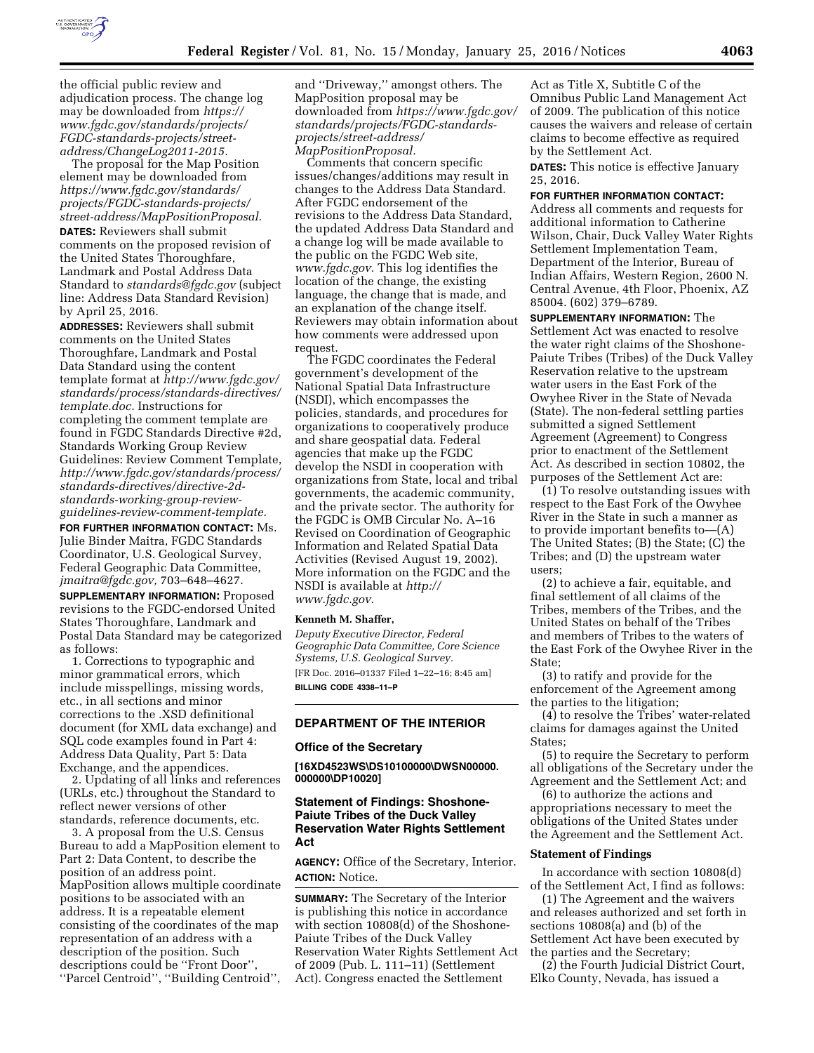

the official public review and adjudication process. The change log may be downloaded from *[https://](https://www.fgdc.gov/standards/projects/FGDC-standards-projects/street-address/ChangeLog2011-2015) [www.fgdc.gov/standards/projects/](https://www.fgdc.gov/standards/projects/FGDC-standards-projects/street-address/ChangeLog2011-2015) [FGDC-standards-projects/street](https://www.fgdc.gov/standards/projects/FGDC-standards-projects/street-address/ChangeLog2011-2015)[address/ChangeLog2011-2015.](https://www.fgdc.gov/standards/projects/FGDC-standards-projects/street-address/ChangeLog2011-2015)* 

The proposal for the Map Position element may be downloaded from *[https://www.fgdc.gov/standards/](https://www.fgdc.gov/standards/projects/FGDC-standards-projects/street-address/MapPositionProposal) [projects/FGDC-standards-projects/](https://www.fgdc.gov/standards/projects/FGDC-standards-projects/street-address/MapPositionProposal) [street-address/MapPositionProposal.](https://www.fgdc.gov/standards/projects/FGDC-standards-projects/street-address/MapPositionProposal)*  **DATES:** Reviewers shall submit comments on the proposed revision of the United States Thoroughfare, Landmark and Postal Address Data Standard to *[standards@fgdc.gov](mailto:standards@fgdc.gov)* (subject line: Address Data Standard Revision) by April 25, 2016.

**ADDRESSES:** Reviewers shall submit comments on the United States Thoroughfare, Landmark and Postal Data Standard using the content template format at *[http://www.fgdc.gov/](http://www.fgdc.gov/standards/process/standards-directives/template.doc) [standards/process/standards-directives/](http://www.fgdc.gov/standards/process/standards-directives/template.doc) [template.doc.](http://www.fgdc.gov/standards/process/standards-directives/template.doc)* Instructions for completing the comment template are found in FGDC Standards Directive #2d, Standards Working Group Review Guidelines: Review Comment Template, *[http://www.fgdc.gov/standards/process/](http://www.fgdc.gov/standards/process/standards-directives/directive-2d-standards-working-group-review-guidelines-review-comment-template) standards-directives/directive-2dstandards-working-group-reviewguidelines-review-comment-template.*  **FOR FURTHER INFORMATION CONTACT:** Ms. Julie Binder Maitra, FGDC Standards Coordinator, U.S. Geological Survey, Federal Geographic Data Committee, *[jmaitra@fgdc.gov,](mailto:jmaitra@fgdc.gov)* 703–648–4627. **SUPPLEMENTARY INFORMATION:** Proposed revisions to the FGDC-endorsed United States Thoroughfare, Landmark and Postal Data Standard may be categorized

as follows: 1. Corrections to typographic and minor grammatical errors, which include misspellings, missing words, etc., in all sections and minor corrections to the .XSD definitional document (for XML data exchange) and SQL code examples found in Part 4: Address Data Quality, Part 5: Data Exchange, and the appendices.

2. Updating of all links and references (URLs, etc.) throughout the Standard to reflect newer versions of other standards, reference documents, etc.

3. A proposal from the U.S. Census Bureau to add a MapPosition element to Part 2: Data Content, to describe the position of an address point. MapPosition allows multiple coordinate positions to be associated with an address. It is a repeatable element consisting of the coordinates of the map representation of an address with a description of the position. Such descriptions could be ''Front Door'', ''Parcel Centroid'', ''Building Centroid'',

and ''Driveway,'' amongst others. The MapPosition proposal may be downloaded from *[https://www.fgdc.gov/](https://www.fgdc.gov/standards/projects/FGDC-standards-projects/street-address/MapPositionProposal) [standards/projects/FGDC-standards](https://www.fgdc.gov/standards/projects/FGDC-standards-projects/street-address/MapPositionProposal)[projects/street-address/](https://www.fgdc.gov/standards/projects/FGDC-standards-projects/street-address/MapPositionProposal) [MapPositionProposal.](https://www.fgdc.gov/standards/projects/FGDC-standards-projects/street-address/MapPositionProposal)* 

Comments that concern specific issues/changes/additions may result in changes to the Address Data Standard. After FGDC endorsement of the revisions to the Address Data Standard, the updated Address Data Standard and a change log will be made available to the public on the FGDC Web site, *[www.fgdc.gov.](http://www.fgdc.gov)* This log identifies the location of the change, the existing language, the change that is made, and an explanation of the change itself. Reviewers may obtain information about how comments were addressed upon request.

The FGDC coordinates the Federal government's development of the National Spatial Data Infrastructure (NSDI), which encompasses the policies, standards, and procedures for organizations to cooperatively produce and share geospatial data. Federal agencies that make up the FGDC develop the NSDI in cooperation with organizations from State, local and tribal governments, the academic community, and the private sector. The authority for the FGDC is OMB Circular No. A–16 Revised on Coordination of Geographic Information and Related Spatial Data Activities (Revised August 19, 2002). More information on the FGDC and the NSDI is available at *[http://](http://www.fgdc.gov) [www.fgdc.gov.](http://www.fgdc.gov)* 

#### **Kenneth M. Shaffer,**

*Deputy Executive Director, Federal Geographic Data Committee, Core Science Systems, U.S. Geological Survey.* 

[FR Doc. 2016–01337 Filed 1–22–16; 8:45 am] **BILLING CODE 4338–11–P** 

# **DEPARTMENT OF THE INTERIOR**

#### **Office of the Secretary**

**[16XD4523WS\DS10100000\DWSN00000. 000000\DP10020]** 

### **Statement of Findings: Shoshone-Paiute Tribes of the Duck Valley Reservation Water Rights Settlement Act**

**AGENCY:** Office of the Secretary, Interior. **ACTION:** Notice.

**SUMMARY:** The Secretary of the Interior is publishing this notice in accordance with section 10808(d) of the Shoshone-Paiute Tribes of the Duck Valley Reservation Water Rights Settlement Act of 2009 (Pub. L. 111–11) (Settlement Act). Congress enacted the Settlement

Act as Title X, Subtitle C of the Omnibus Public Land Management Act of 2009. The publication of this notice causes the waivers and release of certain claims to become effective as required by the Settlement Act.

**DATES:** This notice is effective January 25, 2016.

**FOR FURTHER INFORMATION CONTACT:**  Address all comments and requests for additional information to Catherine Wilson, Chair, Duck Valley Water Rights Settlement Implementation Team, Department of the Interior, Bureau of Indian Affairs, Western Region, 2600 N. Central Avenue, 4th Floor, Phoenix, AZ 85004. (602) 379–6789.

**SUPPLEMENTARY INFORMATION:** The Settlement Act was enacted to resolve the water right claims of the Shoshone-Paiute Tribes (Tribes) of the Duck Valley Reservation relative to the upstream water users in the East Fork of the Owyhee River in the State of Nevada (State). The non-federal settling parties submitted a signed Settlement Agreement (Agreement) to Congress prior to enactment of the Settlement Act. As described in section 10802, the purposes of the Settlement Act are:

(1) To resolve outstanding issues with respect to the East Fork of the Owyhee River in the State in such a manner as to provide important benefits to—(A) The United States; (B) the State; (C) the Tribes; and (D) the upstream water users;

(2) to achieve a fair, equitable, and final settlement of all claims of the Tribes, members of the Tribes, and the United States on behalf of the Tribes and members of Tribes to the waters of the East Fork of the Owyhee River in the State;

(3) to ratify and provide for the enforcement of the Agreement among the parties to the litigation;

(4) to resolve the Tribes' water-related claims for damages against the United States;

(5) to require the Secretary to perform all obligations of the Secretary under the Agreement and the Settlement Act; and

(6) to authorize the actions and appropriations necessary to meet the obligations of the United States under the Agreement and the Settlement Act.

## **Statement of Findings**

In accordance with section 10808(d) of the Settlement Act, I find as follows:

(1) The Agreement and the waivers and releases authorized and set forth in sections 10808(a) and (b) of the Settlement Act have been executed by the parties and the Secretary;

(2) the Fourth Judicial District Court, Elko County, Nevada, has issued a